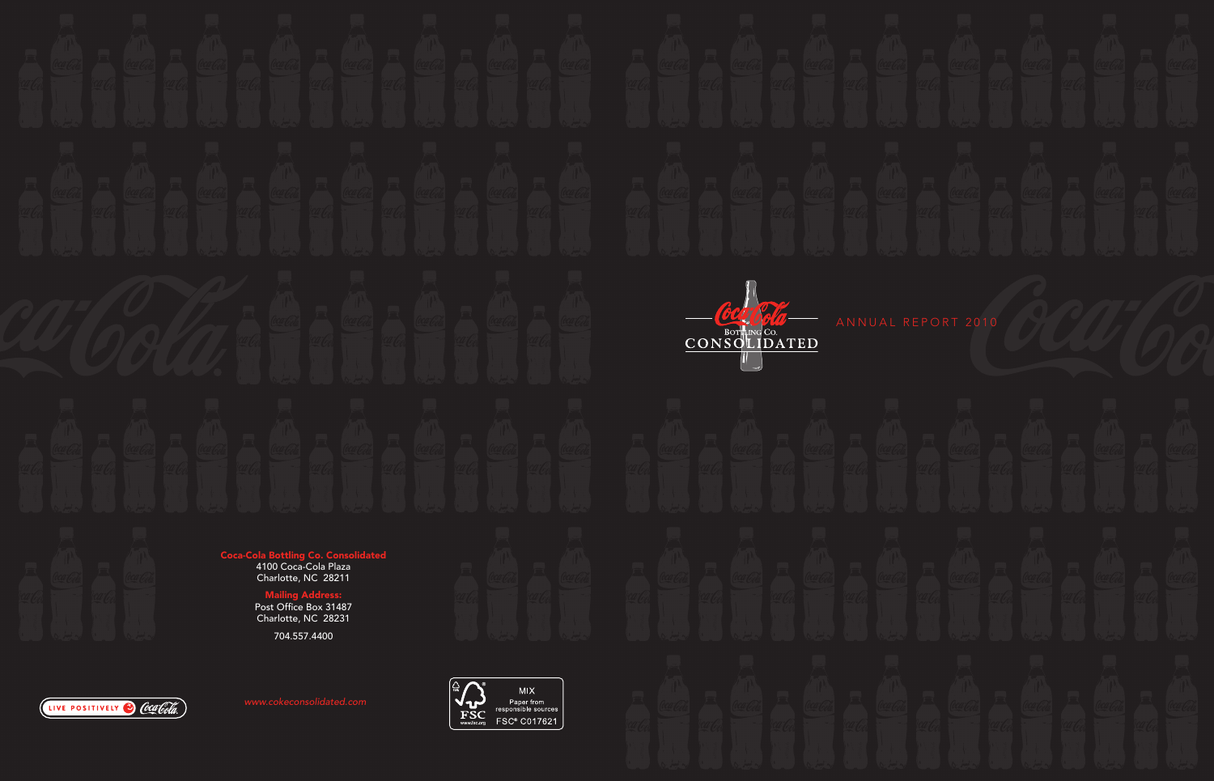



ANNUAL REPORT 2010

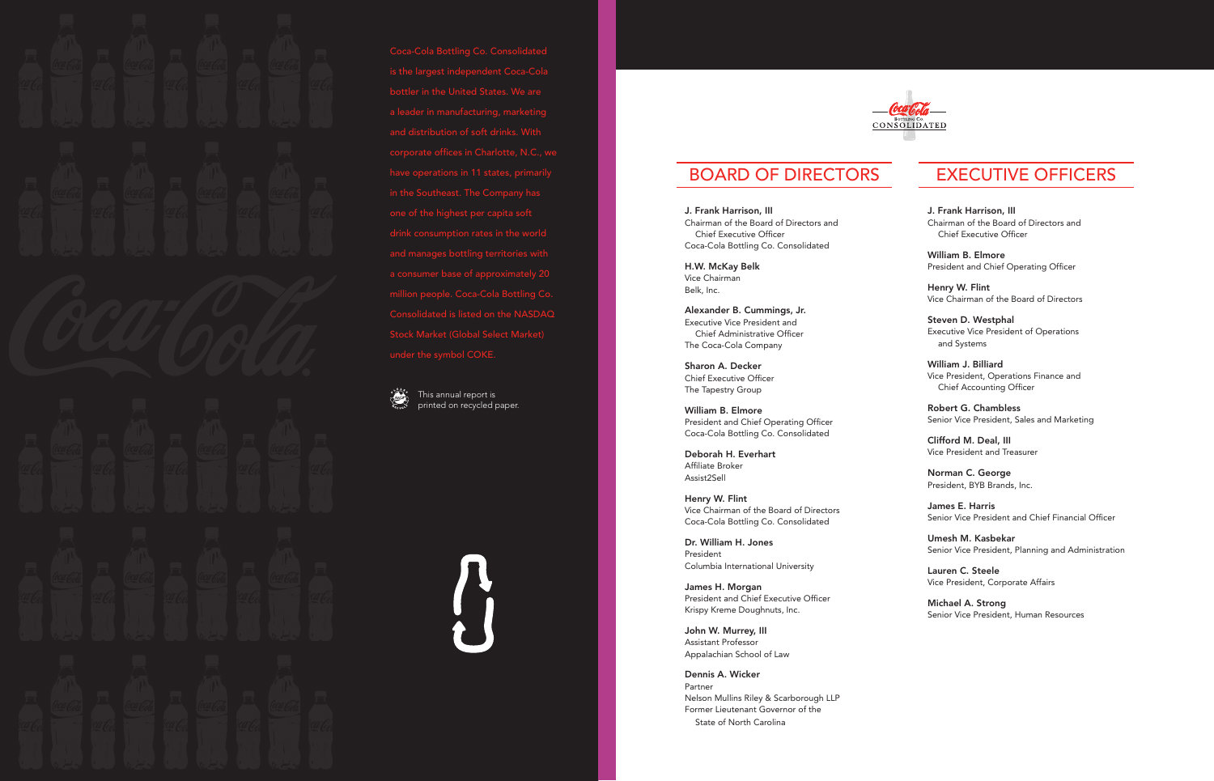is the largest independent Coca-Cola a leader in manufacturing, marketing and manages bottling territories with a consumer base of approximately 20 million people. Coca-Cola Bottling Co. Consolidated is listed on the NASDAQ under the symbol COKE.



This annual report is printed on recycled paper.

 $\int\!\!\!\!\!\!\int$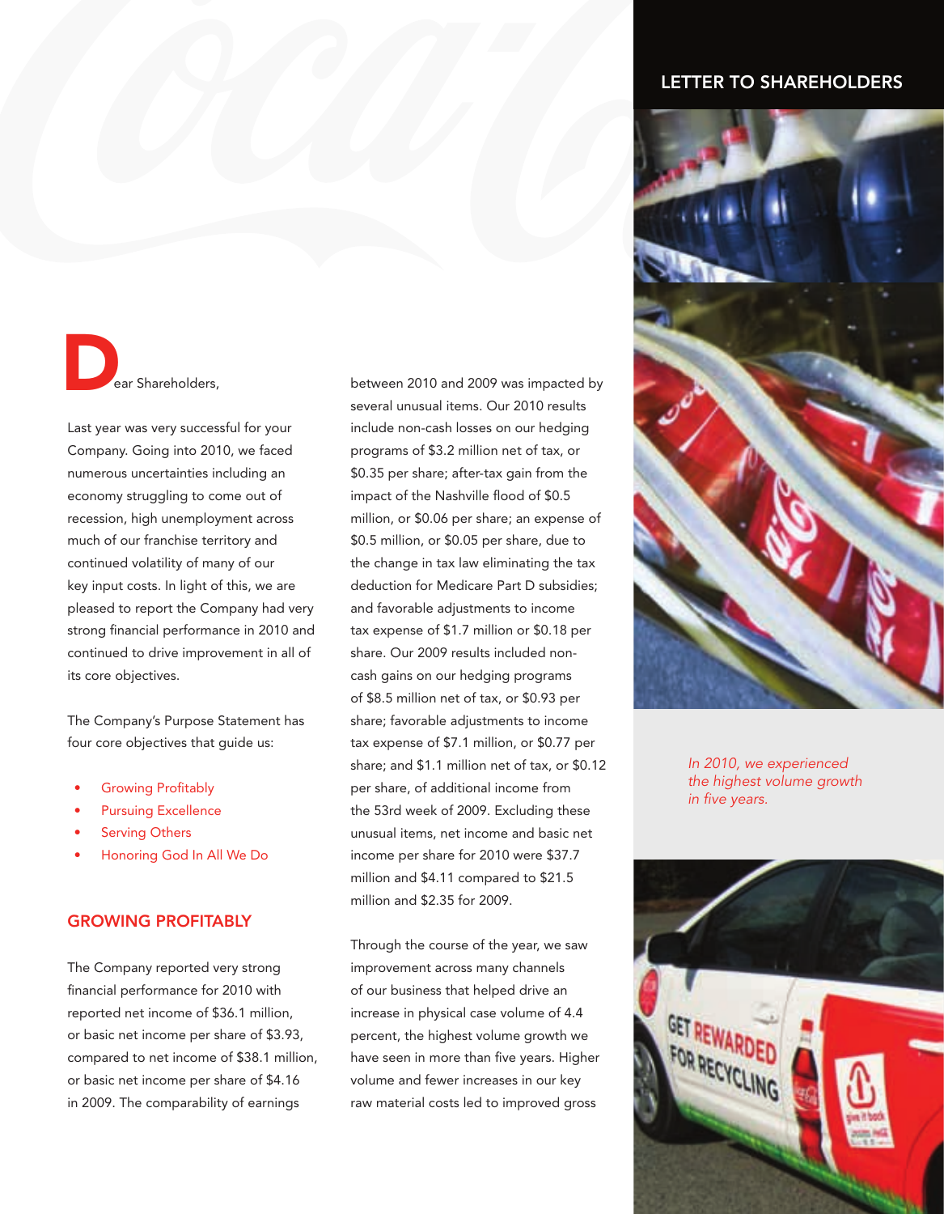### LETTER TO SHAREHOLDERS

ear Shareholders, D

Last year was very successful for your Company. Going into 2010, we faced numerous uncertainties including an economy struggling to come out of recession, high unemployment across much of our franchise territory and continued volatility of many of our key input costs. In light of this, we are pleased to report the Company had very strong financial performance in 2010 and continued to drive improvement in all of its core objectives.

The Company's Purpose Statement has four core objectives that guide us:

- **Growing Profitably**
- Pursuing Excellence
- **Serving Others**
- Honoring God In All We Do

#### GROWING PROFITABLY

The Company reported very strong financial performance for 2010 with reported net income of \$36.1 million, or basic net income per share of \$3.93, compared to net income of \$38.1 million, or basic net income per share of \$4.16 in 2009. The comparability of earnings

between 2010 and 2009 was impacted by several unusual items. Our 2010 results include non-cash losses on our hedging programs of \$3.2 million net of tax, or \$0.35 per share; after-tax gain from the impact of the Nashville flood of \$0.5 million, or \$0.06 per share; an expense of \$0.5 million, or \$0.05 per share, due to the change in tax law eliminating the tax deduction for Medicare Part D subsidies; and favorable adjustments to income tax expense of \$1.7 million or \$0.18 per share. Our 2009 results included noncash gains on our hedging programs of \$8.5 million net of tax, or \$0.93 per share; favorable adjustments to income tax expense of \$7.1 million, or \$0.77 per share; and \$1.1 million net of tax, or \$0.12 per share, of additional income from the 53rd week of 2009. Excluding these unusual items, net income and basic net income per share for 2010 were \$37.7 million and \$4.11 compared to \$21.5 million and \$2.35 for 2009.

Through the course of the year, we saw improvement across many channels of our business that helped drive an increase in physical case volume of 4.4 percent, the highest volume growth we have seen in more than five years. Higher volume and fewer increases in our key raw material costs led to improved gross



*In 2010, we experienced the highest volume growth in five years.*

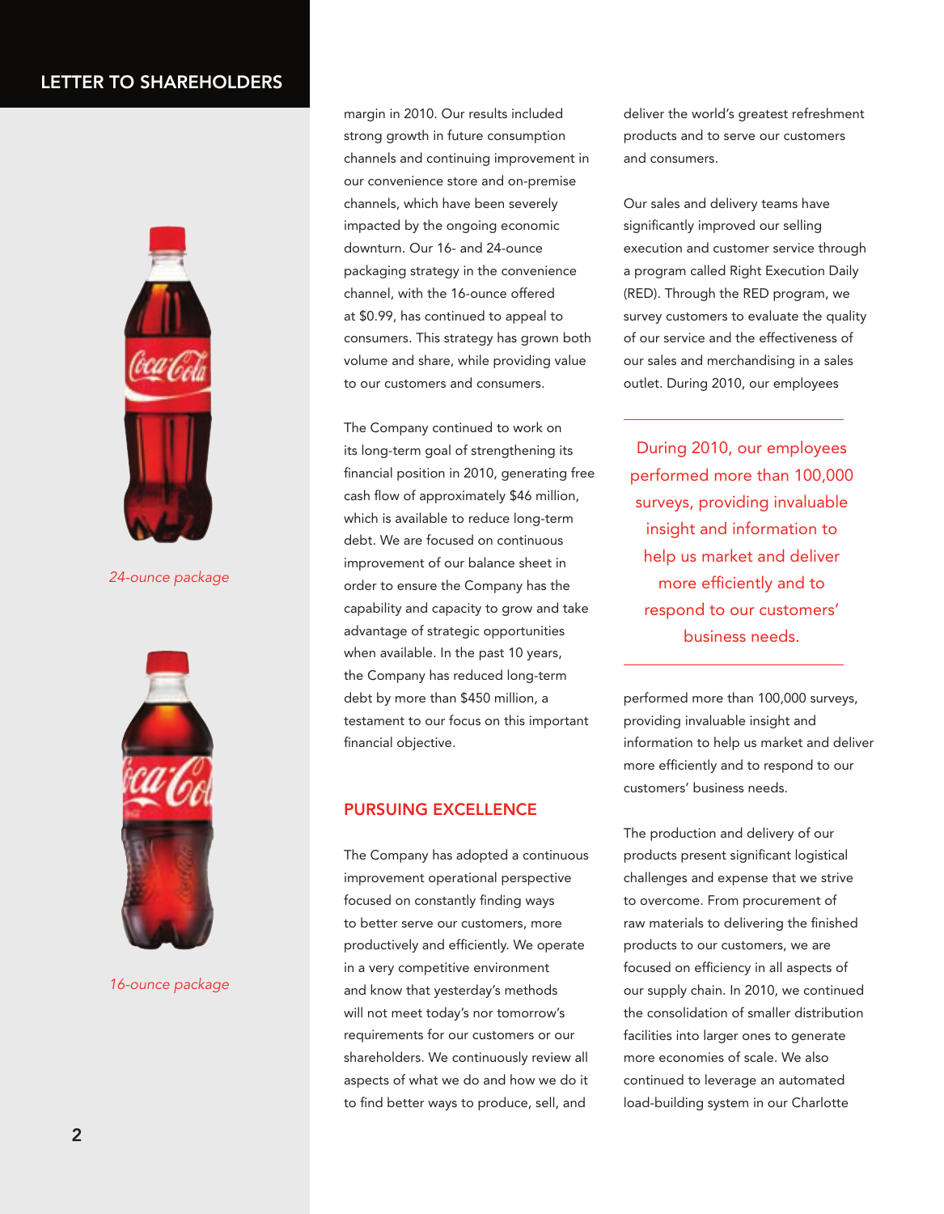## LETTER TO SHAREHOLDERS



*24-ounce package*



*16-ounce package*

margin in 2010. Our results included strong growth in future consumption channels and continuing improvement in our convenience store and on-premise channels, which have been severely impacted by the ongoing economic downturn. Our 16- and 24-ounce packaging strategy in the convenience channel, with the 16-ounce offered at \$0.99, has continued to appeal to consumers. This strategy has grown both volume and share, while providing value to our customers and consumers.

The Company continued to work on its long-term goal of strengthening its financial position in 2010, generating free cash flow of approximately \$46 million, which is available to reduce long-term debt. We are focused on continuous improvement of our balance sheet in order to ensure the Company has the capability and capacity to grow and take advantage of strategic opportunities when available. In the past 10 years, the Company has reduced long-term debt by more than \$450 million, a testament to our focus on this important financial objective.

### PURSUING EXCELLENCE

The Company has adopted a continuous improvement operational perspective focused on constantly finding ways to better serve our customers, more productively and efficiently. We operate in a very competitive environment and know that yesterday's methods will not meet today's nor tomorrow's requirements for our customers or our shareholders. We continuously review all aspects of what we do and how we do it to find better ways to produce, sell, and

deliver the world's greatest refreshment products and to serve our customers and consumers.

Our sales and delivery teams have significantly improved our selling execution and customer service through a program called Right Execution Daily (RED). Through the RED program, we survey customers to evaluate the quality of our service and the effectiveness of our sales and merchandising in a sales outlet. During 2010, our employees

During 2010, our employees performed more than 100,000 surveys, providing invaluable insight and information to help us market and deliver more efficiently and to respond to our customers' business needs.

performed more than 100,000 surveys, providing invaluable insight and information to help us market and deliver more efficiently and to respond to our customers' business needs.

The production and delivery of our products present significant logistical challenges and expense that we strive to overcome. From procurement of raw materials to delivering the finished products to our customers, we are focused on efficiency in all aspects of our supply chain. In 2010, we continued the consolidation of smaller distribution facilities into larger ones to generate more economies of scale. We also continued to leverage an automated load-building system in our Charlotte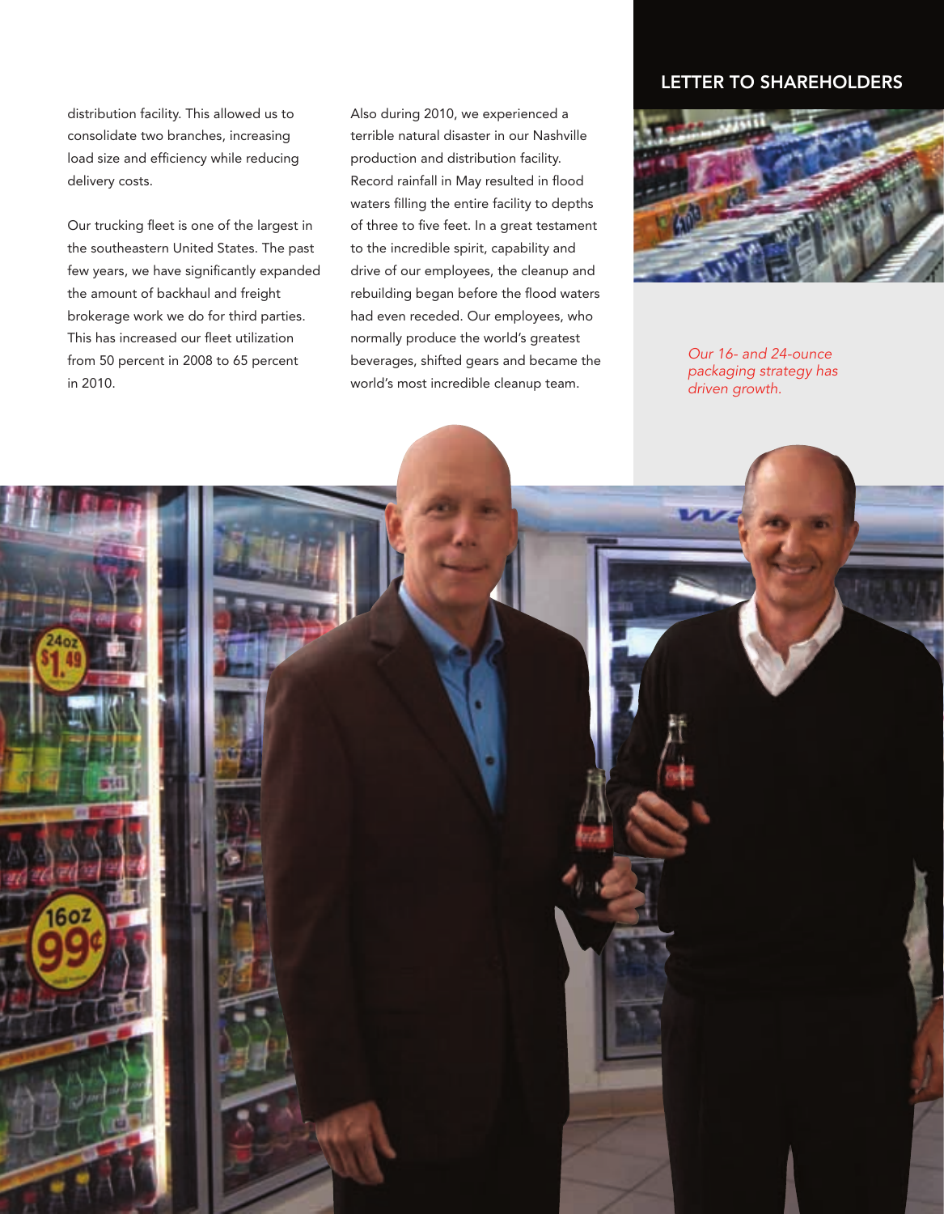distribution facility. This allowed us to consolidate two branches, increasing load size and efficiency while reducing delivery costs.

Our trucking fleet is one of the largest in the southeastern United States. The past few years, we have significantly expanded the amount of backhaul and freight brokerage work we do for third parties. This has increased our fleet utilization from 50 percent in 2008 to 65 percent in 2010.

Also during 2010, we experienced a terrible natural disaster in our Nashville production and distribution facility. Record rainfall in May resulted in flood waters filling the entire facility to depths of three to five feet. In a great testament to the incredible spirit, capability and drive of our employees, the cleanup and rebuilding began before the flood waters had even receded. Our employees, who normally produce the world's greatest beverages, shifted gears and became the world's most incredible cleanup team.

## LETTER TO SHAREHOLDERS



*Our 16- and 24-ounce packaging strategy has driven growth.*

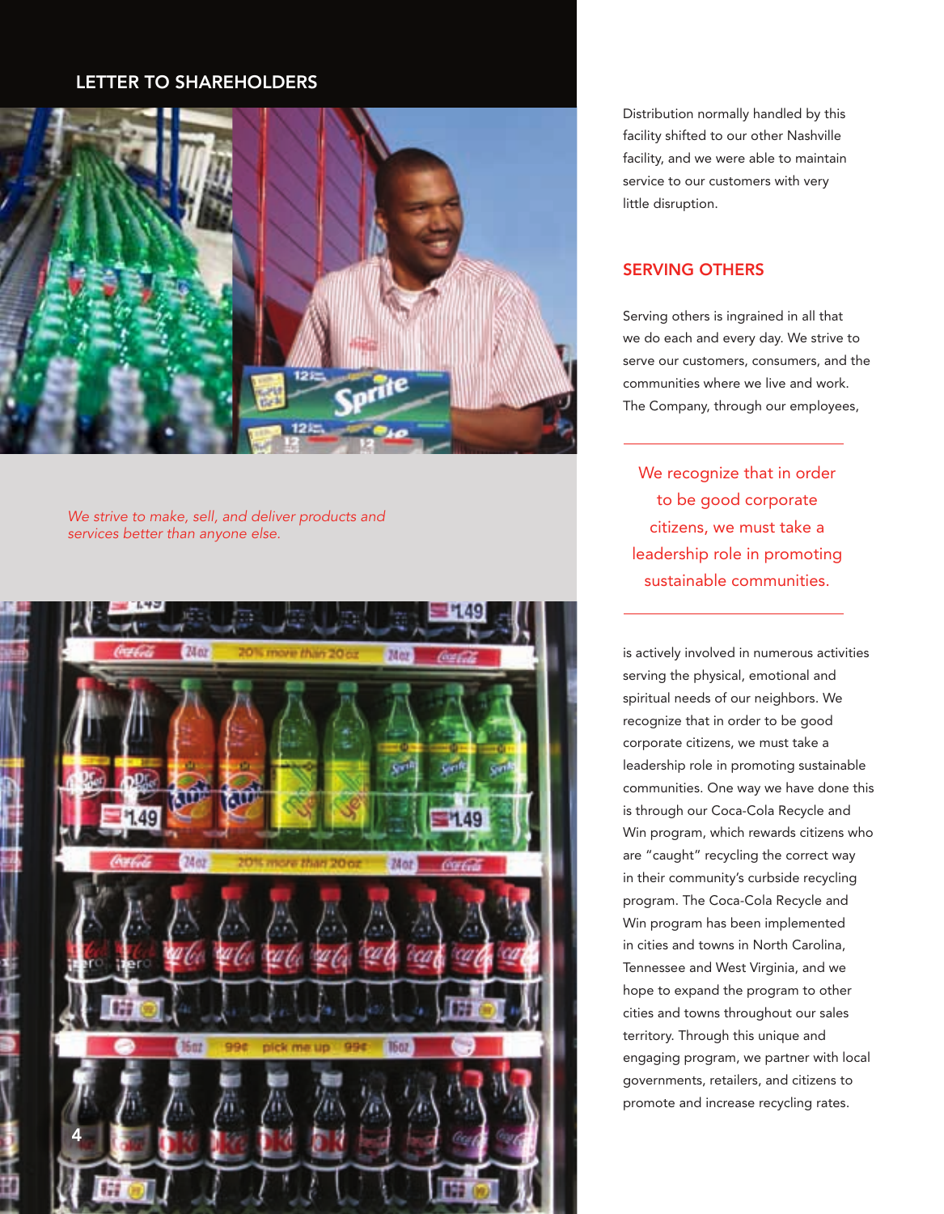## LETTER TO SHAREHOLDERS LETTER TO SHAREHOLDERS



*Caption text services better than anyone else. We strive to make, sell, and deliver products and* 



Distribution normally handled by this facility shifted to our other Nashville facility, and we were able to maintain service to our customers with very little disruption.

### SERVING OTHERS

Serving others is ingrained in all that we do each and every day. We strive to serve our customers, consumers, and the communities where we live and work. The Company, through our employees,

to be good corporate citizens, we must take a leadership role in promoting sustainable communities.

is actively involved in numerous activities serving the physical, emotional and spiritual needs of our neighbors. We recognize that in order to be good corporate citizens, we must take a leadership role in promoting sustainable communities. One way we have done this is through our Coca-Cola Recycle and Win program, which rewards citizens who are "caught" recycling the correct way in their community's curbside recycling program. The Coca-Cola Recycle and Win program has been implemented in cities and towns in North Carolina, Tennessee and West Virginia, and we hope to expand the program to other cities and towns throughout our sales territory. Through this unique and engaging program, we partner with local governments, retailers, and citizens to promote and increase recycling rates.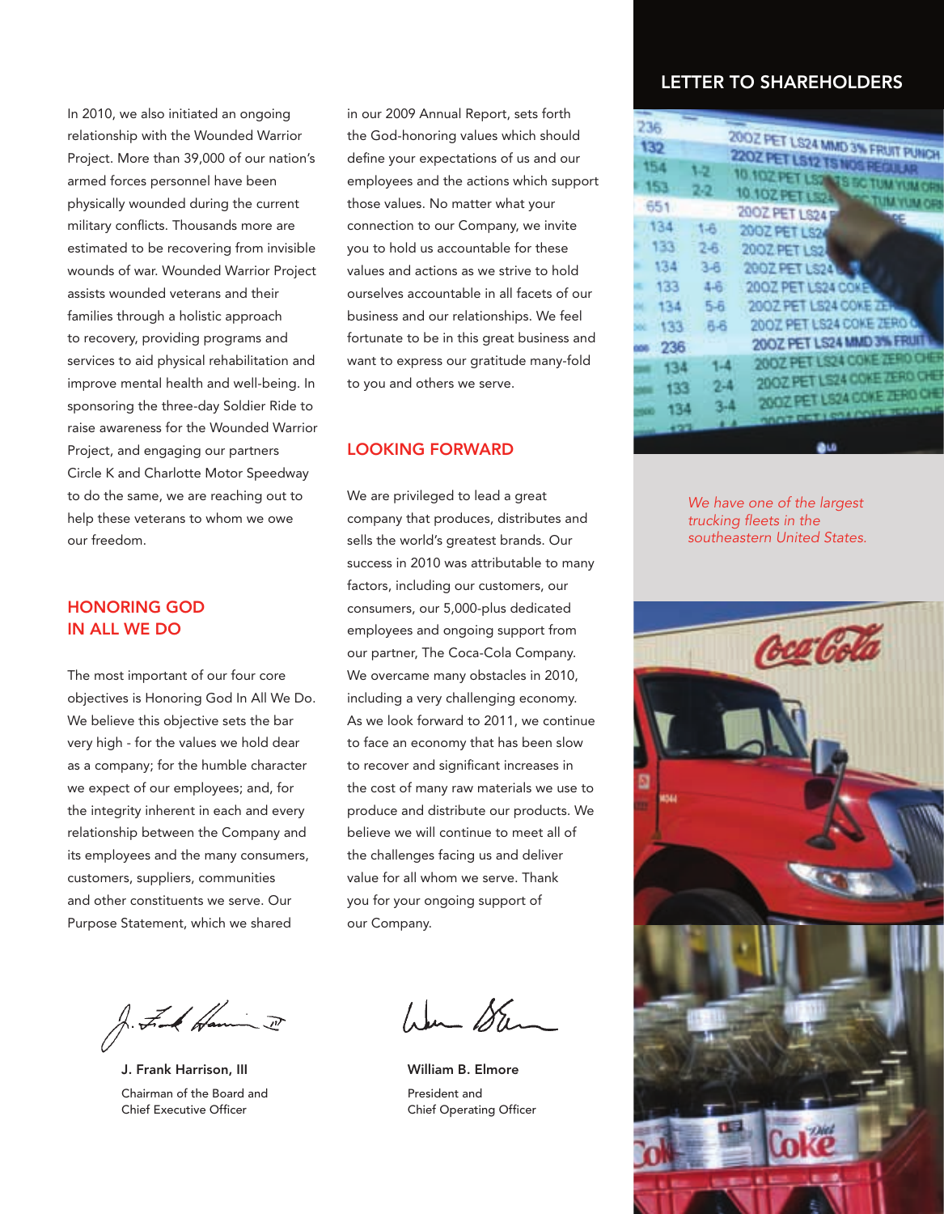In 2010, we also initiated an ongoing relationship with the Wounded Warrior Project. More than 39,000 of our nation's armed forces personnel have been physically wounded during the current military conflicts. Thousands more are estimated to be recovering from invisible wounds of war. Wounded Warrior Project assists wounded veterans and their families through a holistic approach to recovery, providing programs and services to aid physical rehabilitation and improve mental health and well-being. In sponsoring the three-day Soldier Ride to raise awareness for the Wounded Warrior Project, and engaging our partners Circle K and Charlotte Motor Speedway to do the same, we are reaching out to help these veterans to whom we owe our freedom.

### HONORING GOD IN ALL WE DO

The most important of our four core objectives is Honoring God In All We Do. We believe this objective sets the bar very high - for the values we hold dear as a company; for the humble character we expect of our employees; and, for the integrity inherent in each and every relationship between the Company and its employees and the many consumers, customers, suppliers, communities and other constituents we serve. Our Purpose Statement, which we shared

in our 2009 Annual Report, sets forth the God-honoring values which should define your expectations of us and our employees and the actions which support those values. No matter what your connection to our Company, we invite you to hold us accountable for these values and actions as we strive to hold ourselves accountable in all facets of our business and our relationships. We feel fortunate to be in this great business and want to express our gratitude many-fold to you and others we serve.

#### LOOKING FORWARD

We are privileged to lead a great company that produces, distributes and sells the world's greatest brands. Our success in 2010 was attributable to many factors, including our customers, our consumers, our 5,000-plus dedicated employees and ongoing support from our partner, The Coca-Cola Company. We overcame many obstacles in 2010, including a very challenging economy. As we look forward to 2011, we continue to face an economy that has been slow to recover and significant increases in the cost of many raw materials we use to produce and distribute our products. We believe we will continue to meet all of the challenges facing us and deliver value for all whom we serve. Thank you for your ongoing support of our Company.

J. F. A Hamin I

J. Frank Harrison, III Chairman of the Board and Chief Executive Officer

Wer Sten

William B. Elmore President and Chief Operating Officer

# LETTER TO SHAREHOLDERS

| 236   |         |                                    |
|-------|---------|------------------------------------|
|       |         |                                    |
| 132   |         | 2002 PET US24 MMD 3% FRUIT PUNK    |
| 154   | 1-2     | 2202 PET LS12 TS NOS REGULAR       |
|       |         | 10.102 PET LS2 13 BC TUM YUMO      |
| 153   | 2.2     | 10.1074231524<br><b>STATISTICS</b> |
| 651   |         | 2002 PET LS24                      |
| 134   | 1-6     | MAE                                |
| 133   |         | 2002 PET LS24                      |
|       | $2 - 6$ | <b>2002 PET LS2</b>                |
| 134   | $3-6$   | 20022118824                        |
| 133   | 4-6     | 2002 PET LS24 COKE                 |
| 134   | $5-6$   | 2002 PET LS24 COKE ZER             |
|       |         | 2007 PET LS24 COKE 2ERO 6          |
| 133   | 吊吊      |                                    |
| 236   |         | 200Z PET LS24 MMD 3% FRUIT         |
| 134   | 1.4     | <b>2007 PET ISSUEDIE ALL DOP</b>   |
|       |         | 2007 PET USA CONE 7 FRO C          |
| 133   | $2 - 4$ | 2007 PET US24 COKE 7ERO O          |
| 体型    | $3-4$   |                                    |
| Cir e |         | on a z certa cas souti program     |
|       |         |                                    |

*We have one of the largest trucking fleets in the southeastern United States.*